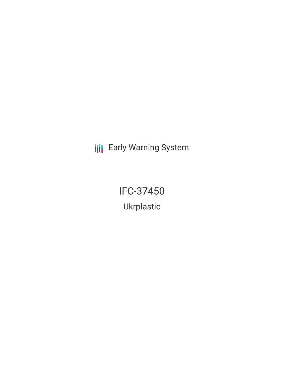**III** Early Warning System

IFC-37450 Ukrplastic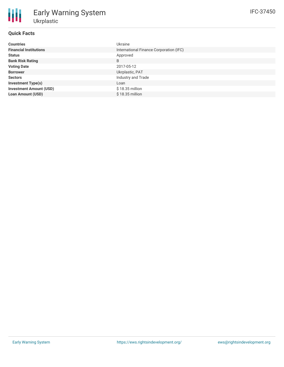| <b>Countries</b>               | Ukraine                                 |
|--------------------------------|-----------------------------------------|
| <b>Financial Institutions</b>  | International Finance Corporation (IFC) |
| <b>Status</b>                  | Approved                                |
| <b>Bank Risk Rating</b>        | B                                       |
| <b>Voting Date</b>             | 2017-05-12                              |
| <b>Borrower</b>                | Ukrplastic, PAT                         |
| <b>Sectors</b>                 | Industry and Trade                      |
| <b>Investment Type(s)</b>      | Loan                                    |
| <b>Investment Amount (USD)</b> | $$18.35$ million                        |
| <b>Loan Amount (USD)</b>       | $$18.35$ million                        |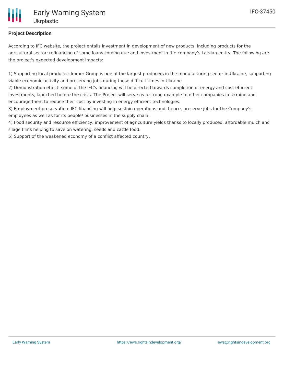

## **Project Description**

According to IFC website, the project entails investment in development of new products, including products for the agricultural sector; refinancing of some loans coming due and investment in the company's Latvian entity. The following are the project's expected development impacts:

1) Supporting local producer: Immer Group is one of the largest producers in the manufacturing sector in Ukraine, supporting viable economic activity and preserving jobs during these difficult times in Ukraine

2) Demonstration effect: some of the IFC's financing will be directed towards completion of energy and cost efficient investments, launched before the crisis. The Project will serve as a strong example to other companies in Ukraine and encourage them to reduce their cost by investing in energy efficient technologies.

3) Employment preservation: IFC financing will help sustain operations and, hence, preserve jobs for the Company's employees as well as for its people/ businesses in the supply chain.

4) Food security and resource efficiency: improvement of agriculture yields thanks to locally produced, affordable mulch and silage films helping to save on watering, seeds and cattle food.

5) Support of the weakened economy of a conflict affected country.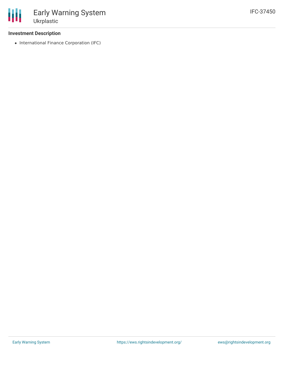## **Investment Description**

• International Finance Corporation (IFC)